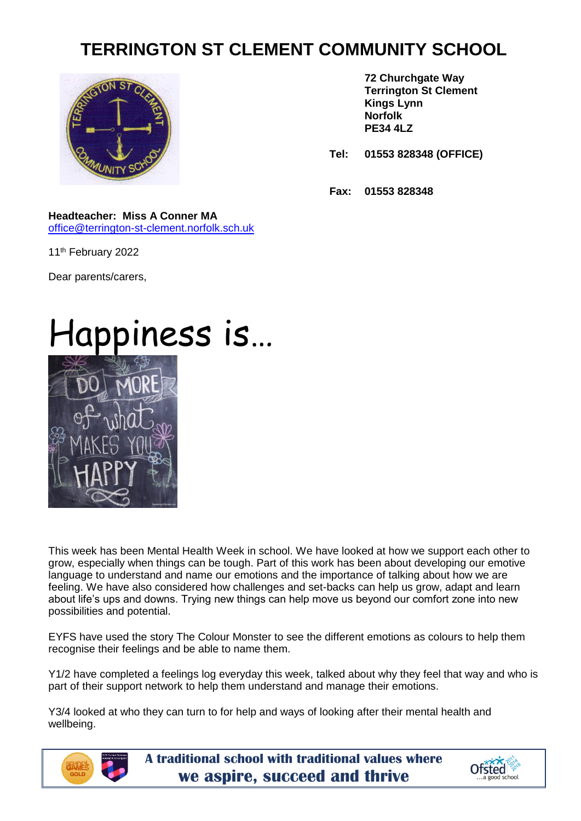## **TERRINGTON ST CLEMENT COMMUNITY SCHOOL**



**72 Churchgate Way Terrington St Clement Kings Lynn Norfolk PE34 4LZ**

**Tel: 01553 828348 (OFFICE)**

**Fax: 01553 828348**

## **Headteacher: Miss A Conner MA**

[office@terrington-st-clement.norfolk.sch.uk](mailto:office@terrington-st-clement.norfolk.sch.uk)

11<sup>th</sup> February 2022

Dear parents/carers,

## Happiness is…



This week has been Mental Health Week in school. We have looked at how we support each other to grow, especially when things can be tough. Part of this work has been about developing our emotive language to understand and name our emotions and the importance of talking about how we are feeling. We have also considered how challenges and set-backs can help us grow, adapt and learn about life's ups and downs. Trying new things can help move us beyond our comfort zone into new possibilities and potential.

EYFS have used the story The Colour Monster to see the different emotions as colours to help them recognise their feelings and be able to name them.

Y1/2 have completed a feelings log everyday this week, talked about why they feel that way and who is part of their support network to help them understand and manage their emotions.

Y3/4 looked at who they can turn to for help and ways of looking after their mental health and wellbeing.



**A traditional school with traditional values where we aspire, succeed and thrive**

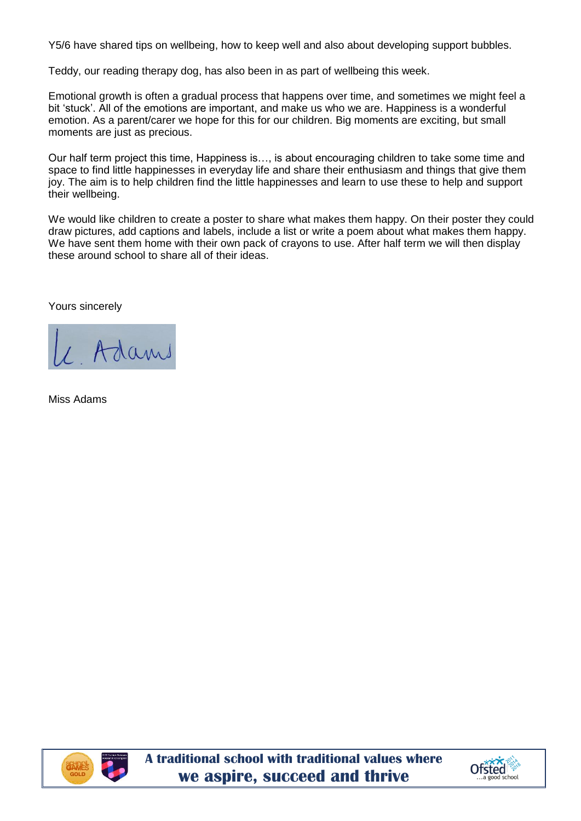Y5/6 have shared tips on wellbeing, how to keep well and also about developing support bubbles.

Teddy, our reading therapy dog, has also been in as part of wellbeing this week.

Emotional growth is often a gradual process that happens over time, and sometimes we might feel a bit 'stuck'. All of the emotions are important, and make us who we are. Happiness is a wonderful emotion. As a parent/carer we hope for this for our children. Big moments are exciting, but small moments are just as precious.

Our half term project this time, Happiness is…, is about encouraging children to take some time and space to find little happinesses in everyday life and share their enthusiasm and things that give them joy. The aim is to help children find the little happinesses and learn to use these to help and support their wellbeing.

We would like children to create a poster to share what makes them happy. On their poster they could draw pictures, add captions and labels, include a list or write a poem about what makes them happy. We have sent them home with their own pack of crayons to use. After half term we will then display these around school to share all of their ideas.

Yours sincerely

/ Adams

Miss Adams